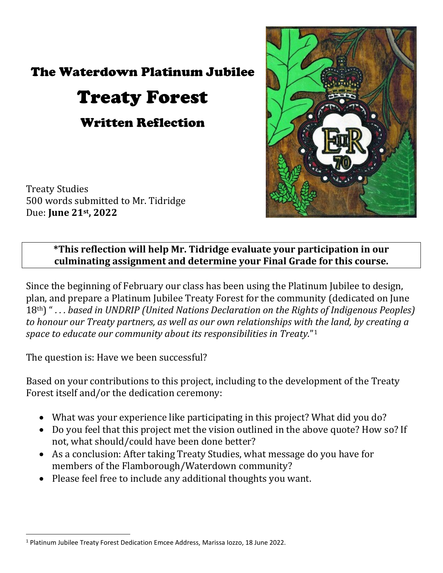## The Waterdown Platinum Jubilee

## Treaty Forest

Written Reflection

Treaty Studies 500 words submitted to Mr. Tidridge Due: **June 21st, 2022**



## **\*This reflection will help Mr. Tidridge evaluate your participation in our culminating assignment and determine your Final Grade for this course.**

Since the beginning of February our class has been using the Platinum Jubilee to design, plan, and prepare a Platinum Jubilee Treaty Forest for the community (dedicated on June 18th) " *. . . based in UNDRIP (United Nations Declaration on the Rights of Indigenous Peoples) to honour our Treaty partners, as well as our own relationships with the land, by creating a space to educate our community about its responsibilities in Treaty.*"[1](#page-0-0)

The question is: Have we been successful?

l

Based on your contributions to this project, including to the development of the Treaty Forest itself and/or the dedication ceremony:

- What was your experience like participating in this project? What did you do?
- Do you feel that this project met the vision outlined in the above quote? How so? If not, what should/could have been done better?
- As a conclusion: After taking Treaty Studies, what message do you have for members of the Flamborough/Waterdown community?
- Please feel free to include any additional thoughts you want.

<span id="page-0-0"></span><sup>1</sup> Platinum Jubilee Treaty Forest Dedication Emcee Address, Marissa Iozzo, 18 June 2022.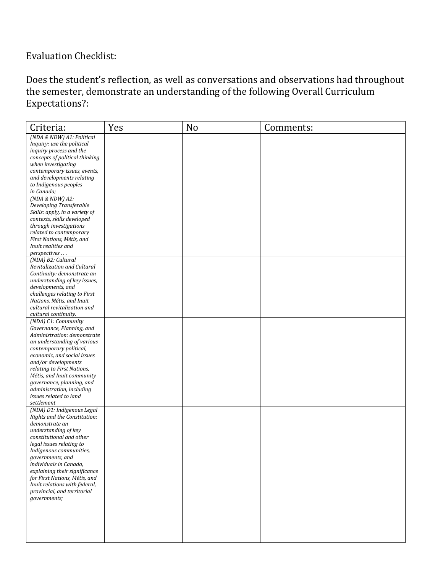## Evaluation Checklist:

Does the student's reflection, as well as conversations and observations had throughout the semester, demonstrate an understanding of the following Overall Curriculum Expectations?:

| Criteria:                                                      | Yes | N <sub>o</sub> | Comments: |
|----------------------------------------------------------------|-----|----------------|-----------|
| (NDA & NDW) A1: Political                                      |     |                |           |
| Inquiry: use the political                                     |     |                |           |
| inquiry process and the                                        |     |                |           |
| concepts of political thinking                                 |     |                |           |
| when investigating                                             |     |                |           |
| contemporary issues, events,                                   |     |                |           |
| and developments relating                                      |     |                |           |
| to Indigenous peoples                                          |     |                |           |
| in Canada;                                                     |     |                |           |
| (NDA & NDW) A2:                                                |     |                |           |
| Developing Transferable                                        |     |                |           |
| Skills: apply, in a variety of                                 |     |                |           |
| contexts, skills developed                                     |     |                |           |
| through investigations                                         |     |                |           |
| related to contemporary                                        |     |                |           |
| First Nations, Métis, and                                      |     |                |           |
| Inuit realities and                                            |     |                |           |
| perspectives                                                   |     |                |           |
| (NDA) B2: Cultural                                             |     |                |           |
| Revitalization and Cultural                                    |     |                |           |
| Continuity: demonstrate an                                     |     |                |           |
| understanding of key issues,                                   |     |                |           |
| developments, and                                              |     |                |           |
| challenges relating to First                                   |     |                |           |
| Nations, Métis, and Inuit                                      |     |                |           |
| cultural revitalization and                                    |     |                |           |
| cultural continuity.                                           |     |                |           |
| (NDA) C1: Community                                            |     |                |           |
| Governance, Planning, and                                      |     |                |           |
| Administration: demonstrate                                    |     |                |           |
| an understanding of various                                    |     |                |           |
| contemporary political,                                        |     |                |           |
| economic, and social issues                                    |     |                |           |
| and/or developments                                            |     |                |           |
| relating to First Nations,                                     |     |                |           |
| Métis, and Inuit community                                     |     |                |           |
| governance, planning, and                                      |     |                |           |
| administration, including                                      |     |                |           |
| issues related to land                                         |     |                |           |
| settlement                                                     |     |                |           |
| (NDA) D1: Indigenous Legal                                     |     |                |           |
| Rights and the Constitution:                                   |     |                |           |
| demonstrate an                                                 |     |                |           |
|                                                                |     |                |           |
| understanding of key                                           |     |                |           |
| constitutional and other                                       |     |                |           |
| legal issues relating to<br>Indigenous communities,            |     |                |           |
| governments, and                                               |     |                |           |
|                                                                |     |                |           |
| individuals in Canada,                                         |     |                |           |
| explaining their significance<br>for First Nations, Métis, and |     |                |           |
| Inuit relations with federal,                                  |     |                |           |
| provincial, and territorial                                    |     |                |           |
| governments;                                                   |     |                |           |
|                                                                |     |                |           |
|                                                                |     |                |           |
|                                                                |     |                |           |
|                                                                |     |                |           |
|                                                                |     |                |           |
|                                                                |     |                |           |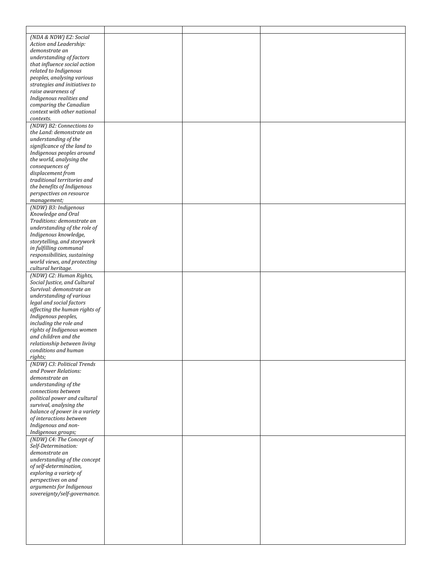| (NDA & NDW) E2: Social        |  |  |
|-------------------------------|--|--|
| Action and Leadership:        |  |  |
| demonstrate an                |  |  |
|                               |  |  |
| understanding of factors      |  |  |
| that influence social action  |  |  |
| related to Indigenous         |  |  |
| peoples, analysing various    |  |  |
| strategies and initiatives to |  |  |
| raise awareness of            |  |  |
| Indigenous realities and      |  |  |
| comparing the Canadian        |  |  |
| context with other national   |  |  |
|                               |  |  |
| contexts.                     |  |  |
| (NDW) B2: Connections to      |  |  |
| the Land: demonstrate an      |  |  |
| understanding of the          |  |  |
| significance of the land to   |  |  |
| Indigenous peoples around     |  |  |
| the world, analysing the      |  |  |
| consequences of               |  |  |
| displacement from             |  |  |
|                               |  |  |
| traditional territories and   |  |  |
| the benefits of Indigenous    |  |  |
| perspectives on resource      |  |  |
| management;                   |  |  |
| (NDW) B3: Indigenous          |  |  |
| Knowledge and Oral            |  |  |
| Traditions: demonstrate an    |  |  |
| understanding of the role of  |  |  |
| Indigenous knowledge,         |  |  |
|                               |  |  |
| storytelling, and storywork   |  |  |
| in fulfilling communal        |  |  |
| responsibilities, sustaining  |  |  |
| world views, and protecting   |  |  |
| cultural heritage.            |  |  |
| (NDW) C2: Human Rights,       |  |  |
| Social Justice, and Cultural  |  |  |
| Survival: demonstrate an      |  |  |
| understanding of various      |  |  |
|                               |  |  |
| legal and social factors      |  |  |
| affecting the human rights of |  |  |
| Indigenous peoples,           |  |  |
| including the role and        |  |  |
| rights of Indigenous women    |  |  |
| and children and the          |  |  |
| relationship between living   |  |  |
| conditions and human          |  |  |
| rights;                       |  |  |
| (NDW) C3: Political Trends    |  |  |
|                               |  |  |
| and Power Relations:          |  |  |
| demonstrate an                |  |  |
| understanding of the          |  |  |
| connections between           |  |  |
| political power and cultural  |  |  |
| survival, analysing the       |  |  |
| balance of power in a variety |  |  |
| of interactions between       |  |  |
| Indigenous and non-           |  |  |
| Indigenous groups;            |  |  |
| (NDW) C4: The Concept of      |  |  |
|                               |  |  |
| Self-Determination:           |  |  |
| demonstrate an                |  |  |
| understanding of the concept  |  |  |
| of self-determination,        |  |  |
| exploring a variety of        |  |  |
| perspectives on and           |  |  |
| arguments for Indigenous      |  |  |
| sovereignty/self-governance.  |  |  |
|                               |  |  |
|                               |  |  |
|                               |  |  |
|                               |  |  |
|                               |  |  |
|                               |  |  |
|                               |  |  |
|                               |  |  |